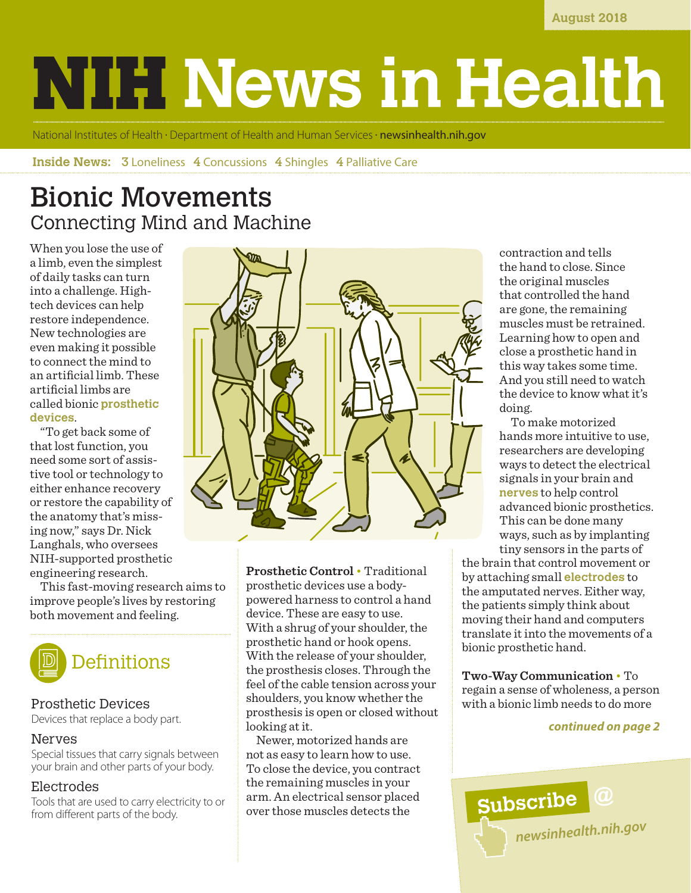**August 2018**

# **NIH News in Health**

National Institutes of Health • Department of Health and Human Services • **[newsinhealth.nih.gov](https://newsinhealth.nih.gov)** 

**Inside News: 3** Loneliness 4 Concussions 4 Shingles 4 Palliative Care

# Bionic Movements Connecting Mind and Machine

When you lose the use of a limb, even the simplest of daily tasks can turn into a challenge. Hightech devices can help restore independence. New technologies are even making it possible to connect the mind to an artificial limb. These artificial limbs are called bionic **prosthetic devices**.

"To get back some of that lost function, you need some sort of assistive tool or technology to either enhance recovery or restore the capability of the anatomy that's missing now," says Dr. Nick Langhals, who oversees NIH-supported prosthetic engineering research.

This fast-moving research aims to improve people's lives by restoring both movement and feeling.



## Prosthetic Devices

Devices that replace a body part.

## Nerves

Special tissues that carry signals between your brain and other parts of your body.

## Electrodes

Tools that are used to carry electricity to or from different parts of the body.



**Prosthetic Control** • Traditional prosthetic devices use a bodypowered harness to control a hand device. These are easy to use. With a shrug of your shoulder, the prosthetic hand or hook opens. With the release of your shoulder, the prosthesis closes. Through the feel of the cable tension across your shoulders, you know whether the prosthesis is open or closed without looking at it.

Newer, motorized hands are not as easy to learn how to use. To close the device, you contract the remaining muscles in your arm. An electrical sensor placed over those muscles detects the

contraction and tells the hand to close. Since the original muscles that controlled the hand are gone, the remaining muscles must be retrained. Learning how to open and close a prosthetic hand in this way takes some time. And you still need to watch the device to know what it's doing.

 To make motorized hands more intuitive to use, researchers are developing ways to detect the electrical signals in your brain and **nerves** to help control advanced bionic prosthetics. This can be done many ways, such as by implanting tiny sensors in the parts of

the brain that control movement or by attaching small **electrodes** to the amputated nerves. Either way, the patients simply think about moving their hand and computers translate it into the movements of a bionic prosthetic hand.

**Two-Way Communication** • To regain a sense of wholeness, a person with a bionic limb needs to do more

### *continued on page 2*

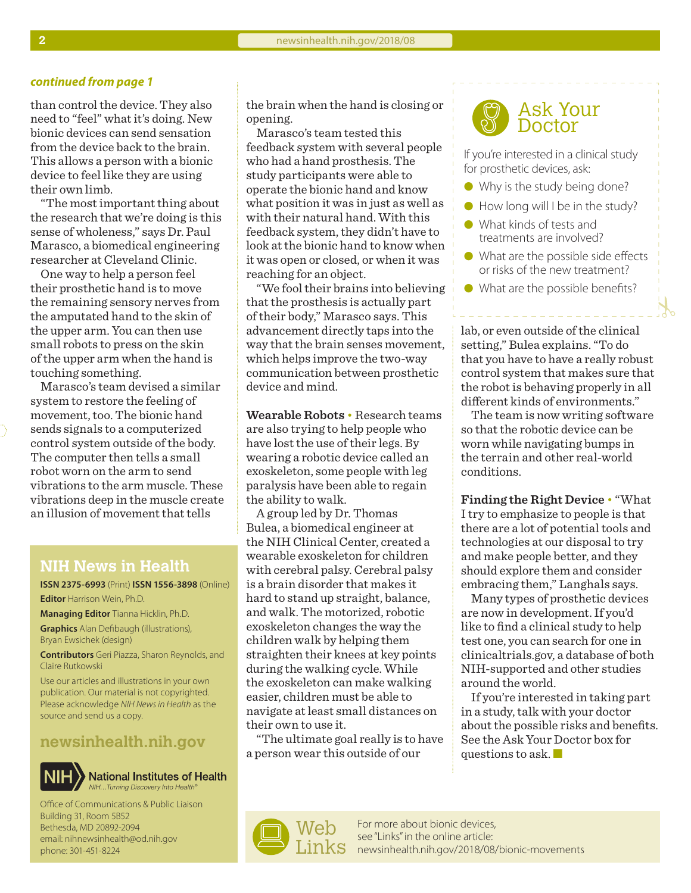#### *continued from page 1*

than control the device. They also need to "feel" what it's doing. New bionic devices can send sensation from the device back to the brain. This allows a person with a bionic device to feel like they are using their own limb.

"The most important thing about the research that we're doing is this sense of wholeness," says Dr. Paul Marasco, a biomedical engineering researcher at Cleveland Clinic.

One way to help a person feel their prosthetic hand is to move the remaining sensory nerves from the amputated hand to the skin of the upper arm. You can then use small robots to press on the skin of the upper arm when the hand is touching something.

Marasco's team devised a similar system to restore the feeling of movement, too. The bionic hand sends signals to a computerized control system outside of the body. The computer then tells a small robot worn on the arm to send vibrations to the arm muscle. These vibrations deep in the muscle create an illusion of movement that tells

## **NIH News in Health**

**ISSN 2375-6993** (Print) **ISSN 1556-3898** (Online) **Editor** Harrison Wein, Ph.D.

**Managing Editor** Tianna Hicklin, Ph.D. **Graphics** Alan Defibaugh (illustrations), Bryan Ewsichek (design)

**Contributors** Geri Piazza, Sharon Reynolds, and Claire Rutkowski

Use our articles and illustrations in your own publication. Our material is not copyrighted. Please acknowledge *NIH News in Health* as the source and send us a copy.

## **[newsinhealth.nih.gov](https://newsinhealth.nih.gov)**



**National Institutes of Health** *NIH…Turning Discovery Into Health®*

Office of Communications & Public Liaison Building 31, Room 5B52 Bethesda, MD 20892-2094 email: nihnewsinhealth@od.nih.gov phone: 301-451-8224

the brain when the hand is closing or opening.

Marasco's team tested this feedback system with several people who had a hand prosthesis. The study participants were able to operate the bionic hand and know what position it was in just as well as with their natural hand. With this feedback system, they didn't have to look at the bionic hand to know when it was open or closed, or when it was reaching for an object.

"We fool their brains into believing that the prosthesis is actually part of their body," Marasco says. This advancement directly taps into the way that the brain senses movement, which helps improve the two-way communication between prosthetic device and mind.

**Wearable Robots** • Research teams are also trying to help people who have lost the use of their legs. By wearing a robotic device called an exoskeleton, some people with leg paralysis have been able to regain the ability to walk.

A group led by Dr. Thomas Bulea, a biomedical engineer at the NIH Clinical Center, created a wearable exoskeleton for children with cerebral palsy. Cerebral palsy is a brain disorder that makes it hard to stand up straight, balance, and walk. The motorized, robotic exoskeleton changes the way the children walk by helping them straighten their knees at key points during the walking cycle. While the exoskeleton can make walking easier, children must be able to navigate at least small distances on their own to use it.

"The ultimate goal really is to have a person wear this outside of our



If you're interested in a clinical study for prosthetic devices, ask:

- $\bullet$  Why is the study being done?
- $\bullet$  How long will I be in the study?
- **I** What kinds of tests and treatments are involved?
- $\bullet$  What are the possible side effects or risks of the new treatment?
- $\bullet$  What are the possible benefits?

lab, or even outside of the clinical setting," Bulea explains. "To do that you have to have a really robust control system that makes sure that the robot is behaving properly in all different kinds of environments."

The team is now writing software so that the robotic device can be worn while navigating bumps in the terrain and other real-world conditions.

**Finding the Right Device** • "What I try to emphasize to people is that there are a lot of potential tools and technologies at our disposal to try and make people better, and they should explore them and consider embracing them," Langhals says.

Many types of prosthetic devices are now in development. If you'd like to find a clinical study to help test one, you can search for one in clinicaltrials.gov, a database of both NIH-supported and other studies around the world.

If you're interested in taking part in a study, talk with your doctor about the possible risks and benefits. See the Ask Your Doctor box for questions to ask.  $\blacksquare$ 

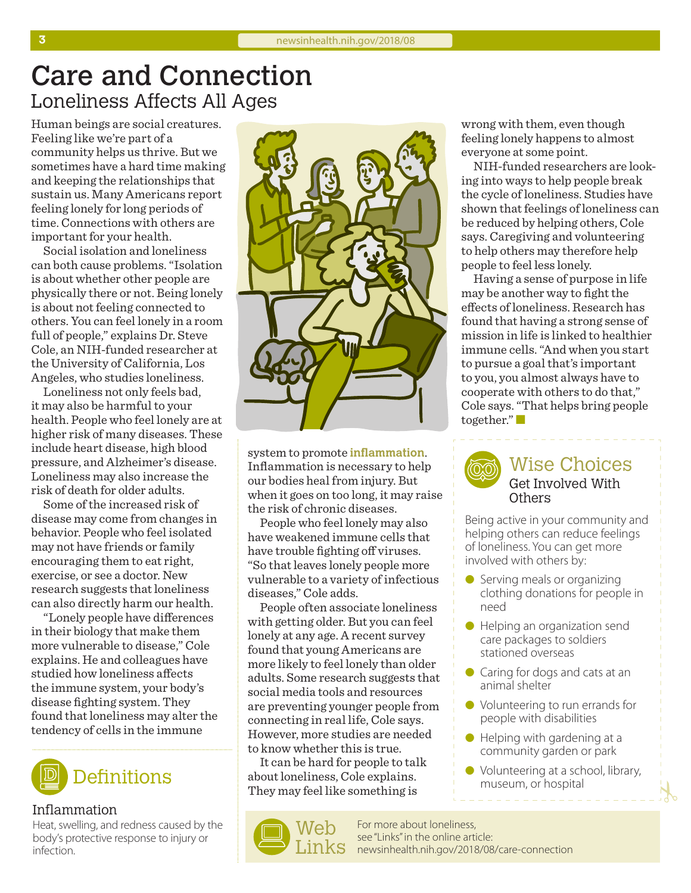# Care and Connection Loneliness Affects All Ages

Human beings are social creatures. Feeling like we're part of a community helps us thrive. But we sometimes have a hard time making and keeping the relationships that sustain us. Many Americans report feeling lonely for long periods of time. Connections with others are important for your health.

Social isolation and loneliness can both cause problems. "Isolation is about whether other people are physically there or not. Being lonely is about not feeling connected to others. You can feel lonely in a room full of people," explains Dr. Steve Cole, an NIH-funded researcher at the University of California, Los Angeles, who studies loneliness.

Loneliness not only feels bad, it may also be harmful to your health. People who feel lonely are at higher risk of many diseases. These include heart disease, high blood pressure, and Alzheimer's disease. Loneliness may also increase the risk of death for older adults.

Some of the increased risk of disease may come from changes in behavior. People who feel isolated may not have friends or family encouraging them to eat right, exercise, or see a doctor. New research suggests that loneliness can also directly harm our health.

"Lonely people have differences in their biology that make them more vulnerable to disease," Cole explains. He and colleagues have studied how loneliness affects the immune system, your body's disease fighting system. They found that loneliness may alter the tendency of cells in the immune



### Inflammation

Heat, swelling, and redness caused by the body's protective response to injury or infection.



system to promote **inflammation**. Inflammation is necessary to help our bodies heal from injury. But when it goes on too long, it may raise the risk of chronic diseases.

People who feel lonely may also have weakened immune cells that have trouble fighting off viruses. "So that leaves lonely people more vulnerable to a variety of infectious diseases," Cole adds.

People often associate loneliness with getting older. But you can feel lonely at any age. A recent survey found that young Americans are more likely to feel lonely than older adults. Some research suggests that social media tools and resources are preventing younger people from connecting in real life, Cole says. However, more studies are needed to know whether this is true.

It can be hard for people to talk about loneliness, Cole explains. They may feel like something is



wrong with them, even though feeling lonely happens to almost everyone at some point.

NIH-funded researchers are looking into ways to help people break the cycle of loneliness. Studies have shown that feelings of loneliness can be reduced by helping others, Cole says. Caregiving and volunteering to help others may therefore help people to feel less lonely.

Having a sense of purpose in life may be another way to fight the effects of loneliness. Research has found that having a strong sense of mission in life is linked to healthier immune cells. "And when you start to pursue a goal that's important to you, you almost always have to cooperate with others to do that," Cole says. "That helps bring people together." $\Box$ 



Being active in your community and helping others can reduce feelings of loneliness. You can get more involved with others by:

- $\bullet$  Serving meals or organizing clothing donations for people in need
- **I** Helping an organization send care packages to soldiers stationed overseas
- $\bullet$  Caring for dogs and cats at an animal shelter
- Volunteering to run errands for people with disabilities
- $\bullet$  Helping with gardening at a community garden or park
- Volunteering at a school, library, museum, or hospital